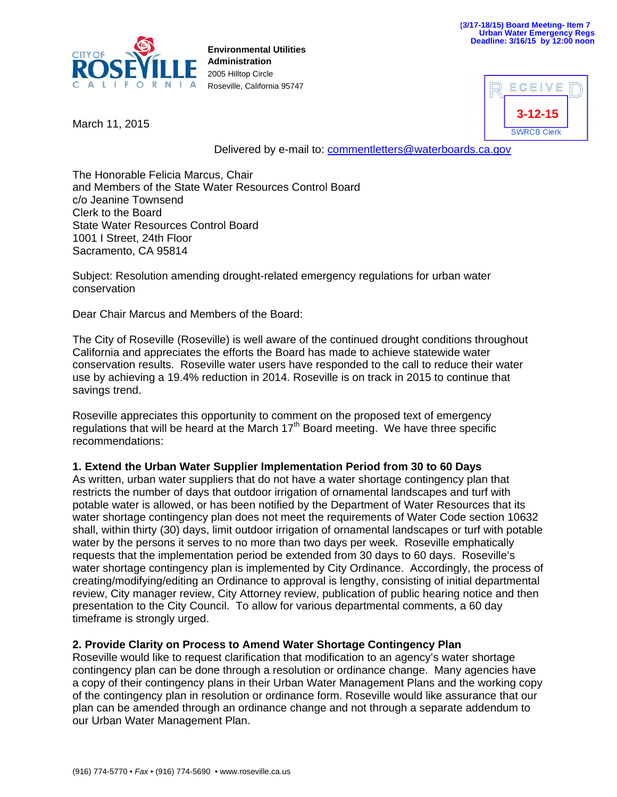

**Environmental Utilities Administration**  2005 Hilltop Circle Roseville, California 95747

March 11, 2015



Delivered by e-mail to: commentletters@waterboards.ca.gov

The Honorable Felicia Marcus, Chair and Members of the State Water Resources Control Board c/o Jeanine Townsend Clerk to the Board State Water Resources Control Board 1001 I Street, 24th Floor Sacramento, CA 95814

Subject: Resolution amending drought-related emergency regulations for urban water conservation

Dear Chair Marcus and Members of the Board:

The City of Roseville (Roseville) is well aware of the continued drought conditions throughout California and appreciates the efforts the Board has made to achieve statewide water conservation results. Roseville water users have responded to the call to reduce their water use by achieving a 19.4% reduction in 2014. Roseville is on track in 2015 to continue that savings trend.

Roseville appreciates this opportunity to comment on the proposed text of emergency regulations that will be heard at the March  $17<sup>th</sup>$  Board meeting. We have three specific recommendations:

## **1. Extend the Urban Water Supplier Implementation Period from 30 to 60 Days**

As written, urban water suppliers that do not have a water shortage contingency plan that restricts the number of days that outdoor irrigation of ornamental landscapes and turf with potable water is allowed, or has been notified by the Department of Water Resources that its water shortage contingency plan does not meet the requirements of Water Code section 10632 shall, within thirty (30) days, limit outdoor irrigation of ornamental landscapes or turf with potable water by the persons it serves to no more than two days per week. Roseville emphatically requests that the implementation period be extended from 30 days to 60 days. Roseville's water shortage contingency plan is implemented by City Ordinance. Accordingly, the process of creating/modifying/editing an Ordinance to approval is lengthy, consisting of initial departmental review, City manager review, City Attorney review, publication of public hearing notice and then presentation to the City Council. To allow for various departmental comments, a 60 day timeframe is strongly urged.

## **2. Provide Clarity on Process to Amend Water Shortage Contingency Plan**

Roseville would like to request clarification that modification to an agency's water shortage contingency plan can be done through a resolution or ordinance change. Many agencies have a copy of their contingency plans in their Urban Water Management Plans and the working copy of the contingency plan in resolution or ordinance form. Roseville would like assurance that our plan can be amended through an ordinance change and not through a separate addendum to our Urban Water Management Plan.